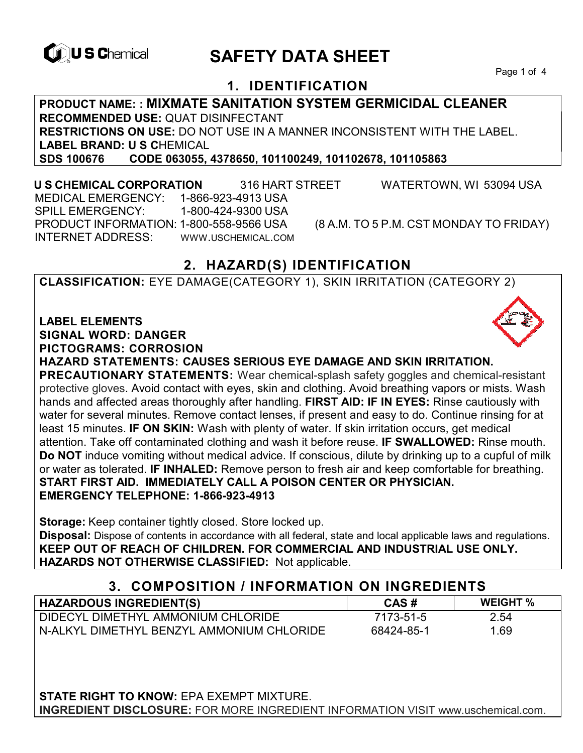

# **CONSCRETTY DATA SHEET**

Page 1 of 4

## **1. IDENTIFICATION**

**PRODUCT NAME: : MIXMATE SANITATION SYSTEM GERMICIDAL CLEANER RECOMMENDED USE:** QUAT DISINFECTANT **RESTRICTIONS ON USE:** DO NOT USE IN A MANNER INCONSISTENT WITH THE LABEL. **LABEL BRAND: U S C**HEMICAL **SDS 100676 CODE 063055, 4378650, 101100249, 101102678, 101105863** 

 **U S CHEMICAL CORPORATION** 316 HART STREET WATERTOWN, WI 53094 USA MEDICAL EMERGENCY: 1-866-923-4913 USA SPILL EMERGENCY: 1-800-424-9300 USA PRODUCT INFORMATION: 1-800-558-9566 USA (8 A.M. TO 5 P.M. CST MONDAY TO FRIDAY) INTERNET ADDRESS: WWW.USCHEMICAL.COM

## **2. HAZARD(S) IDENTIFICATION**

**CLASSIFICATION:** EYE DAMAGE(CATEGORY 1), SKIN IRRITATION (CATEGORY 2)

#### **LABEL ELEMENTS**

**SIGNAL WORD: DANGER**

**PICTOGRAMS: CORROSION**

**HAZARD STATEMENTS: CAUSES SERIOUS EYE DAMAGE AND SKIN IRRITATION.** 

**PRECAUTIONARY STATEMENTS:** Wear chemical-splash safety goggles and chemical-resistant protective gloves. Avoid contact with eyes, skin and clothing. Avoid breathing vapors or mists. Wash hands and affected areas thoroughly after handling. **FIRST AID: IF IN EYES:** Rinse cautiously with water for several minutes. Remove contact lenses, if present and easy to do. Continue rinsing for at least 15 minutes. **IF ON SKIN:** Wash with plenty of water. If skin irritation occurs, get medical attention. Take off contaminated clothing and wash it before reuse. **IF SWALLOWED:** Rinse mouth. **Do NOT** induce vomiting without medical advice. If conscious, dilute by drinking up to a cupful of milk or water as tolerated. **IF INHALED:** Remove person to fresh air and keep comfortable for breathing. **START FIRST AID. IMMEDIATELY CALL A POISON CENTER OR PHYSICIAN. EMERGENCY TELEPHONE: 1-866-923-4913**

**Storage:** Keep container tightly closed. Store locked up. **Disposal:** Dispose of contents in accordance with all federal, state and local applicable laws and regulations. **KEEP OUT OF REACH OF CHILDREN. FOR COMMERCIAL AND INDUSTRIAL USE ONLY. HAZARDS NOT OTHERWISE CLASSIFIED:** Not applicable.

| 3. COMPOSITION / INFORMATION ON INGREDIENTS |            |                 |
|---------------------------------------------|------------|-----------------|
| <b>HAZARDOUS INGREDIENT(S)</b>              | CAS#       | <b>WEIGHT %</b> |
| DIDECYL DIMETHYL AMMONIUM CHLORIDE          | 7173-51-5  | 2.54            |
| N-ALKYL DIMETHYL BENZYL AMMONIUM CHLORIDE   | 68424-85-1 | 1.69            |

**STATE RIGHT TO KNOW:** EPA EXEMPT MIXTURE. **INGREDIENT DISCLOSURE:** FOR MORE INGREDIENT INFORMATION VISIT www.uschemical.com.

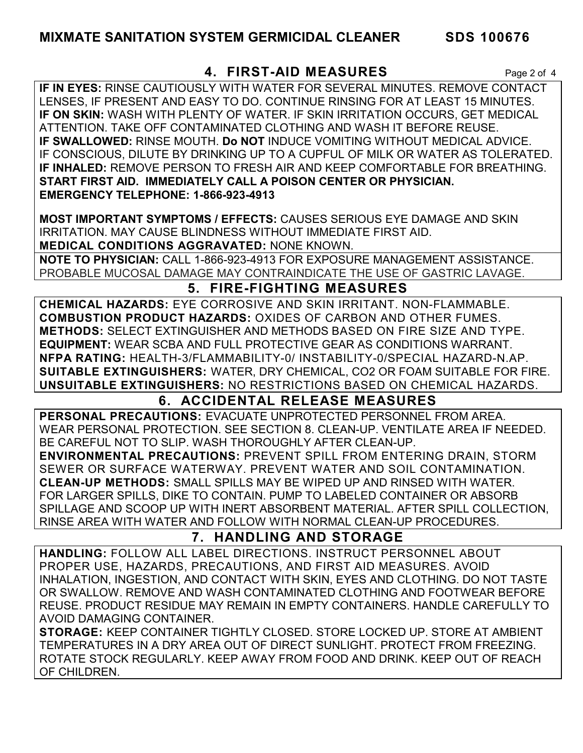## **4. FIRST-AID MEASURES** Page 2 of 4

**IF IN EYES:** RINSE CAUTIOUSLY WITH WATER FOR SEVERAL MINUTES. REMOVE CONTACT LENSES, IF PRESENT AND EASY TO DO. CONTINUE RINSING FOR AT LEAST 15 MINUTES. **IF ON SKIN:** WASH WITH PLENTY OF WATER. IF SKIN IRRITATION OCCURS, GET MEDICAL ATTENTION. TAKE OFF CONTAMINATED CLOTHING AND WASH IT BEFORE REUSE. **IF SWALLOWED:** RINSE MOUTH. **Do NOT** INDUCE VOMITING WITHOUT MEDICAL ADVICE. IF CONSCIOUS, DILUTE BY DRINKING UP TO A CUPFUL OF MILK OR WATER AS TOLERATED. **IF INHALED:** REMOVE PERSON TO FRESH AIR AND KEEP COMFORTABLE FOR BREATHING. **START FIRST AID. IMMEDIATELY CALL A POISON CENTER OR PHYSICIAN. EMERGENCY TELEPHONE: 1-866-923-4913**

**MOST IMPORTANT SYMPTOMS / EFFECTS:** CAUSES SERIOUS EYE DAMAGE AND SKIN IRRITATION. MAY CAUSE BLINDNESS WITHOUT IMMEDIATE FIRST AID. **MEDICAL CONDITIONS AGGRAVATED:** NONE KNOWN.

**NOTE TO PHYSICIAN:** CALL 1-866-923-4913 FOR EXPOSURE MANAGEMENT ASSISTANCE. PROBABLE MUCOSAL DAMAGE MAY CONTRAINDICATE THE USE OF GASTRIC LAVAGE.

## **5. FIRE-FIGHTING MEASURES**

**CHEMICAL HAZARDS:** EYE CORROSIVE AND SKIN IRRITANT. NON-FLAMMABLE. **COMBUSTION PRODUCT HAZARDS:** OXIDES OF CARBON AND OTHER FUMES. **METHODS:** SELECT EXTINGUISHER AND METHODS BASED ON FIRE SIZE AND TYPE. **EQUIPMENT:** WEAR SCBA AND FULL PROTECTIVE GEAR AS CONDITIONS WARRANT. **NFPA RATING:** HEALTH-3/FLAMMABILITY-0/ INSTABILITY-0/SPECIAL HAZARD-N.AP. **SUITABLE EXTINGUISHERS:** WATER, DRY CHEMICAL, CO2 OR FOAM SUITABLE FOR FIRE. **UNSUITABLE EXTINGUISHERS:** NO RESTRICTIONS BASED ON CHEMICAL HAZARDS.

## **6. ACCIDENTAL RELEASE MEASURES**

**PERSONAL PRECAUTIONS:** EVACUATE UNPROTECTED PERSONNEL FROM AREA. WEAR PERSONAL PROTECTION. SEE SECTION 8. CLEAN-UP. VENTILATE AREA IF NEEDED. BE CAREFUL NOT TO SLIP. WASH THOROUGHLY AFTER CLEAN-UP.

**ENVIRONMENTAL PRECAUTIONS:** PREVENT SPILL FROM ENTERING DRAIN, STORM SEWER OR SURFACE WATERWAY. PREVENT WATER AND SOIL CONTAMINATION. **CLEAN-UP METHODS:** SMALL SPILLS MAY BE WIPED UP AND RINSED WITH WATER. FOR LARGER SPILLS, DIKE TO CONTAIN. PUMP TO LABELED CONTAINER OR ABSORB SPILLAGE AND SCOOP UP WITH INERT ABSORBENT MATERIAL. AFTER SPILL COLLECTION, RINSE AREA WITH WATER AND FOLLOW WITH NORMAL CLEAN-UP PROCEDURES.

## **7. HANDLING AND STORAGE**

**HANDLING:** FOLLOW ALL LABEL DIRECTIONS. INSTRUCT PERSONNEL ABOUT PROPER USE, HAZARDS, PRECAUTIONS, AND FIRST AID MEASURES. AVOID INHALATION, INGESTION, AND CONTACT WITH SKIN, EYES AND CLOTHING. DO NOT TASTE OR SWALLOW. REMOVE AND WASH CONTAMINATED CLOTHING AND FOOTWEAR BEFORE REUSE. PRODUCT RESIDUE MAY REMAIN IN EMPTY CONTAINERS. HANDLE CAREFULLY TO AVOID DAMAGING CONTAINER.

**STORAGE:** KEEP CONTAINER TIGHTLY CLOSED. STORE LOCKED UP. STORE AT AMBIENT TEMPERATURES IN A DRY AREA OUT OF DIRECT SUNLIGHT. PROTECT FROM FREEZING. ROTATE STOCK REGULARLY. KEEP AWAY FROM FOOD AND DRINK. KEEP OUT OF REACH OF CHILDREN.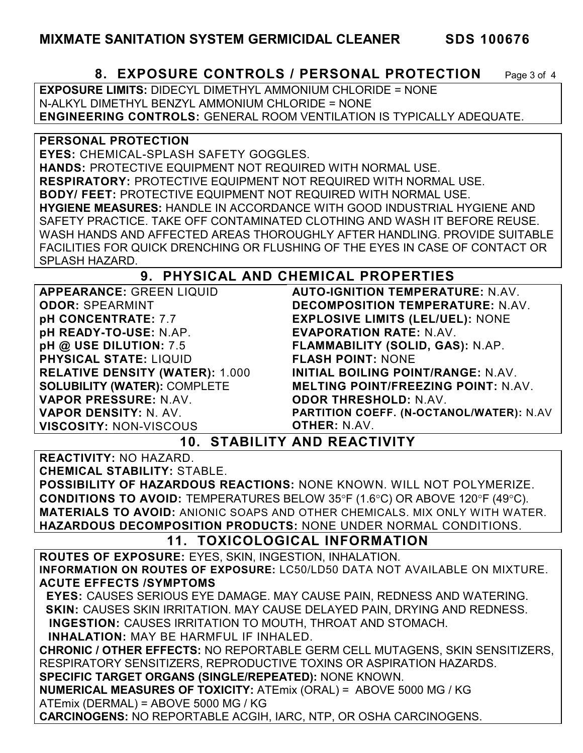## **8. EXPOSURE CONTROLS / PERSONAL PROTECTION** Page 3 of 4

**EXPOSURE LIMITS:** DIDECYL DIMETHYL AMMONIUM CHLORIDE = NONE N-ALKYL DIMETHYL BENZYL AMMONIUM CHLORIDE = NONE **ENGINEERING CONTROLS:** GENERAL ROOM VENTILATION IS TYPICALLY ADEQUATE.

#### **PERSONAL PROTECTION**

**EYES:** CHEMICAL-SPLASH SAFETY GOGGLES. **HANDS:** PROTECTIVE EQUIPMENT NOT REQUIRED WITH NORMAL USE. **RESPIRATORY:** PROTECTIVE EQUIPMENT NOT REQUIRED WITH NORMAL USE. **BODY/ FEET:** PROTECTIVE EQUIPMENT NOT REQUIRED WITH NORMAL USE. **HYGIENE MEASURES:** HANDLE IN ACCORDANCE WITH GOOD INDUSTRIAL HYGIENE AND SAFETY PRACTICE. TAKE OFF CONTAMINATED CLOTHING AND WASH IT BEFORE REUSE. WASH HANDS AND AFFECTED AREAS THOROUGHLY AFTER HANDLING. PROVIDE SUITABLE FACILITIES FOR QUICK DRENCHING OR FLUSHING OF THE EYES IN CASE OF CONTACT OR SPLASH HAZARD.

## **9. PHYSICAL AND CHEMICAL PROPERTIES**

**APPEARANCE:** GREEN LIQUID **ODOR:** SPEARMINT **pH CONCENTRATE:** 7.7 **pH READY-TO-USE:** N.AP. **pH @ USE DILUTION:** 7.5 **PHYSICAL STATE:** LIQUID **RELATIVE DENSITY (WATER):** 1.000 **SOLUBILITY (WATER):** COMPLETE **VAPOR PRESSURE:** N.AV. **VAPOR DENSITY:** N. AV. **VISCOSITY:** NON-VISCOUS **AUTO-IGNITION TEMPERATURE:** N.AV. **DECOMPOSITION TEMPERATURE:** N.AV. **EXPLOSIVE LIMITS (LEL/UEL):** NONE **EVAPORATION RATE:** N.AV. **FLAMMABILITY (SOLID, GAS):** N.AP. **FLASH POINT:** NONE **INITIAL BOILING POINT/RANGE:** N.AV. **MELTING POINT/FREEZING POINT:** N.AV. **ODOR THRESHOLD:** N.AV. **PARTITION COEFF. (N-OCTANOL/WATER):** N.AV **OTHER:** N.AV.

**10. STABILITY AND REACTIVITY** 

**REACTIVITY:** NO HAZARD. **CHEMICAL STABILITY:** STABLE.

**POSSIBILITY OF HAZARDOUS REACTIONS:** NONE KNOWN. WILL NOT POLYMERIZE. **CONDITIONS TO AVOID:** TEMPERATURES BELOW 35°F (1.6°C) OR ABOVE 120°F (49°C). **MATERIALS TO AVOID:** ANIONIC SOAPS AND OTHER CHEMICALS. MIX ONLY WITH WATER. **HAZARDOUS DECOMPOSITION PRODUCTS:** NONE UNDER NORMAL CONDITIONS.

## **11. TOXICOLOGICAL INFORMATION**

**ROUTES OF EXPOSURE:** EYES, SKIN, INGESTION, INHALATION. **INFORMATION ON ROUTES OF EXPOSURE:** LC50/LD50 DATA NOT AVAILABLE ON MIXTURE. **ACUTE EFFECTS /SYMPTOMS**

 **EYES:** CAUSES SERIOUS EYE DAMAGE. MAY CAUSE PAIN, REDNESS AND WATERING. **SKIN:** CAUSES SKIN IRRITATION. MAY CAUSE DELAYED PAIN, DRYING AND REDNESS. **INGESTION:** CAUSES IRRITATION TO MOUTH, THROAT AND STOMACH.

**INHALATION:** MAY BE HARMFUL IF INHALED.

**CHRONIC / OTHER EFFECTS:** NO REPORTABLE GERM CELL MUTAGENS, SKIN SENSITIZERS, RESPIRATORY SENSITIZERS, REPRODUCTIVE TOXINS OR ASPIRATION HAZARDS.

**SPECIFIC TARGET ORGANS (SINGLE/REPEATED):** NONE KNOWN.

**NUMERICAL MEASURES OF TOXICITY:** ATEmix (ORAL) = ABOVE 5000 MG / KG ATEmix (DERMAL) = ABOVE 5000 MG / KG

**CARCINOGENS:** NO REPORTABLE ACGIH, IARC, NTP, OR OSHA CARCINOGENS.